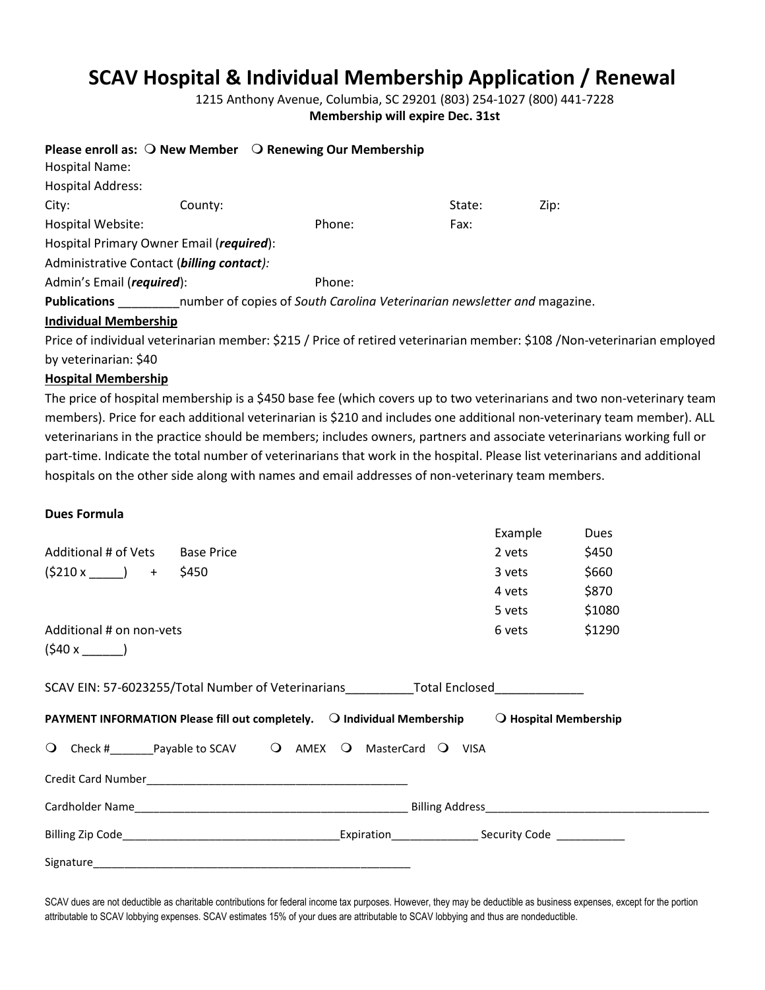## **SCAV Hospital & Individual Membership Application / Renewal**

1215 Anthony Avenue, Columbia, SC 29201 (803) 254-1027 (800) 441-7228 **Membership will expire Dec. 31st**

|                                           |         | Please enroll as: $\bigcirc$ New Member $\bigcirc$ Renewing Our Membership |        |      |
|-------------------------------------------|---------|----------------------------------------------------------------------------|--------|------|
| Hospital Name:                            |         |                                                                            |        |      |
| <b>Hospital Address:</b>                  |         |                                                                            |        |      |
| City:                                     | County: |                                                                            | State: | Zip: |
| Hospital Website:                         |         | Phone:                                                                     | Fax:   |      |
| Hospital Primary Owner Email (required):  |         |                                                                            |        |      |
| Administrative Contact (billing contact): |         |                                                                            |        |      |
| Admin's Email (required):                 |         | Phone:                                                                     |        |      |
| Publications                              |         | number of copies of South Carolina Veterinarian newsletter and magazine.   |        |      |
| <b>Individual Membership</b>              |         |                                                                            |        |      |

Price of individual veterinarian member: \$215 / Price of retired veterinarian member: \$108 /Non-veterinarian employed by veterinarian: \$40

## **Hospital Membership**

The price of hospital membership is a \$450 base fee (which covers up to two veterinarians and two non-veterinary team members). Price for each additional veterinarian is \$210 and includes one additional non-veterinary team member). ALL veterinarians in the practice should be members; includes owners, partners and associate veterinarians working full or part-time. Indicate the total number of veterinarians that work in the hospital. Please list veterinarians and additional hospitals on the other side along with names and email addresses of non-veterinary team members.

## **Dues Formula**

|                                                                                                         | Example | <b>Dues</b> |
|---------------------------------------------------------------------------------------------------------|---------|-------------|
| Additional # of Vets Base Price                                                                         | 2 yets  | \$450       |
| $(5210 x) +$<br>\$450                                                                                   | 3 vets  | \$660       |
|                                                                                                         | 4 vets  | \$870       |
|                                                                                                         | 5 vets  | \$1080      |
| Additional # on non-vets                                                                                | 6 vets  | \$1290      |
| $(540 x$ )                                                                                              |         |             |
| SCAV EIN: 57-6023255/Total Number of Veterinarians_____________Total Enclosed______________________     |         |             |
| PAYMENT INFORMATION Please fill out completely. $\Box$ Individual Membership $\Box$ Hospital Membership |         |             |
| Q Check # Payable to SCAV Q AMEX Q MasterCard Q VISA                                                    |         |             |
|                                                                                                         |         |             |
|                                                                                                         |         |             |
|                                                                                                         |         |             |
|                                                                                                         |         |             |

SCAV dues are not deductible as charitable contributions for federal income tax purposes. However, they may be deductible as business expenses, except for the portion attributable to SCAV lobbying expenses. SCAV estimates 15% of your dues are attributable to SCAV lobbying and thus are nondeductible.